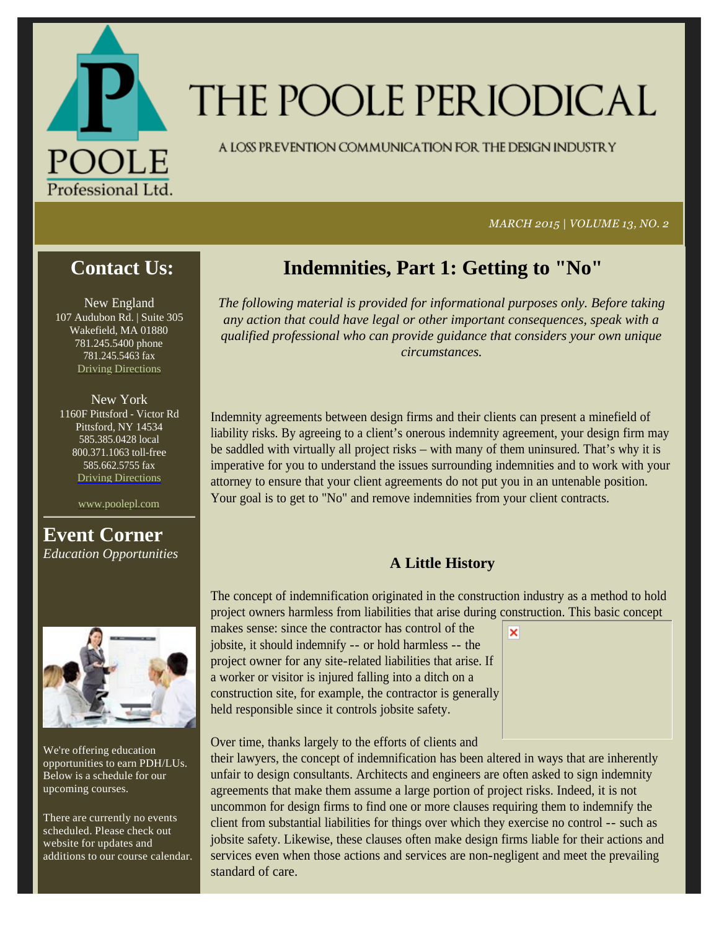

# THE POOLE PER IODICAL

A LOSS PREVENTION COMMUNICATION FOR THE DESIGN INDUSTRY

#### *MARCH 2015 | VOLUME 13, NO. 2*

## **Contact Us:**

New England 107 Audubon Rd. | Suite 305 Wakefield, MA 01880 781.245.5400 phone 781.245.5463 fax Driving Directions

New York 1160F Pittsford - Victor Rd Pittsford, NY 14534 585.385.0428 local 800.371.1063 toll-free 585.662.5755 fax Driving Directions

www.poolepl.com

## **Event Corner** *Education Opportunities*



We're offering education opportunities to earn PDH/LUs. Below is a schedule for our upcoming courses.

There are currently no events scheduled. Please check out website for updates and additions to our course calendar.

## **Indemnities, Part 1: Getting to "No"**

*The following material is provided for informational purposes only. Before taking any action that could have legal or other important consequences, speak with a qualified professional who can provide guidance that considers your own unique circumstances.* 

Indemnity agreements between design firms and their clients can present a minefield of liability risks. By agreeing to a client's onerous indemnity agreement, your design firm may be saddled with virtually all project risks – with many of them uninsured. That's why it is imperative for you to understand the issues surrounding indemnities and to work with your attorney to ensure that your client agreements do not put you in an untenable position. Your goal is to get to "No" and remove indemnities from your client contracts.

## **A Little History**

The concept of indemnification originated in the construction industry as a method to hold project owners harmless from liabilities that arise during construction. This basic concept

×

makes sense: since the contractor has control of the jobsite, it should indemnify -- or hold harmless -- the project owner for any site-related liabilities that arise. If a worker or visitor is injured falling into a ditch on a construction site, for example, the contractor is generally held responsible since it controls jobsite safety.

Over time, thanks largely to the efforts of clients and

their lawyers, the concept of indemnification has been altered in ways that are inherently unfair to design consultants. Architects and engineers are often asked to sign indemnity agreements that make them assume a large portion of project risks. Indeed, it is not uncommon for design firms to find one or more clauses requiring them to indemnify the client from substantial liabilities for things over which they exercise no control -- such as jobsite safety. Likewise, these clauses often make design firms liable for their actions and services even when those actions and services are non-negligent and meet the prevailing standard of care.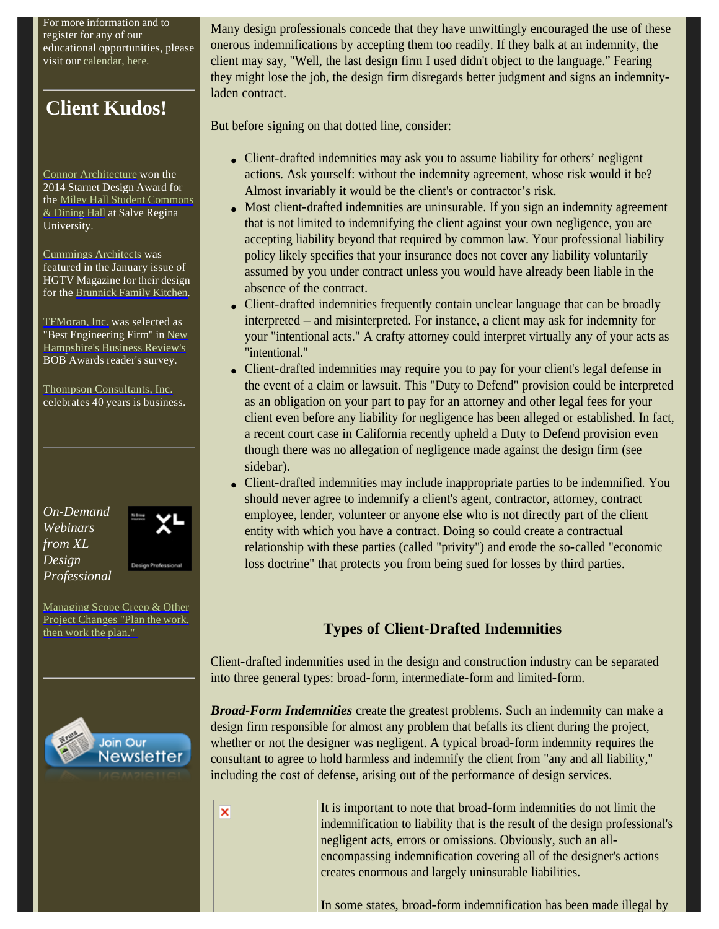For more information and to register for any of our educational opportunities, please visit our calendar, here.

## **Client Kudos!**

Connor Architecture won the 2014 Starnet Design Award for the Miley Hall Student Commons & Dining Hall at Salve Regina University.

Cummings Architects was featured in the January issue of HGTV Magazine for their design for the Brunnick Family Kitchen.

TFMoran, Inc. was selected as "Best Engineering Firm" in New Hampshire's Business Review's BOB Awards reader's survey.

Thompson Consultants, Inc. celebrates 40 years is business.

*On-Demand Webinars from XL Design Professional*



Managing Scope Creep & Other Project Changes "Plan the work, then work the plan."



Many design professionals concede that they have unwittingly encouraged the use of these onerous indemnifications by accepting them too readily. If they balk at an indemnity, the client may say, "Well, the last design firm I used didn't object to the language." Fearing they might lose the job, the design firm disregards better judgment and signs an indemnityladen contract.

But before signing on that dotted line, consider:

- Client-drafted indemnities may ask you to assume liability for others' negligent actions. Ask yourself: without the indemnity agreement, whose risk would it be? Almost invariably it would be the client's or contractor's risk.
- Most client-drafted indemnities are uninsurable. If you sign an indemnity agreement that is not limited to indemnifying the client against your own negligence, you are accepting liability beyond that required by common law. Your professional liability policy likely specifies that your insurance does not cover any liability voluntarily assumed by you under contract unless you would have already been liable in the absence of the contract.
- Client-drafted indemnities frequently contain unclear language that can be broadly interpreted – and misinterpreted. For instance, a client may ask for indemnity for your "intentional acts." A crafty attorney could interpret virtually any of your acts as "intentional."
- Client-drafted indemnities may require you to pay for your client's legal defense in the event of a claim or lawsuit. This "Duty to Defend" provision could be interpreted as an obligation on your part to pay for an attorney and other legal fees for your client even before any liability for negligence has been alleged or established. In fact, a recent court case in California recently upheld a Duty to Defend provision even though there was no allegation of negligence made against the design firm (see sidebar).
- Client-drafted indemnities may include inappropriate parties to be indemnified. You should never agree to indemnify a client's agent, contractor, attorney, contract employee, lender, volunteer or anyone else who is not directly part of the client entity with which you have a contract. Doing so could create a contractual relationship with these parties (called "privity") and erode the so-called "economic loss doctrine" that protects you from being sued for losses by third parties.

## **Types of Client-Drafted Indemnities**

Client-drafted indemnities used in the design and construction industry can be separated into three general types: broad-form, intermediate-form and limited-form.

*Broad-Form Indemnities* create the greatest problems. Such an indemnity can make a design firm responsible for almost any problem that befalls its client during the project, whether or not the designer was negligent. A typical broad-form indemnity requires the consultant to agree to hold harmless and indemnify the client from "any and all liability," including the cost of defense, arising out of the performance of design services.

×

It is important to note that broad-form indemnities do not limit the indemnification to liability that is the result of the design professional's negligent acts, errors or omissions. Obviously, such an allencompassing indemnification covering all of the designer's actions creates enormous and largely uninsurable liabilities.

In some states, broad-form indemnification has been made illegal by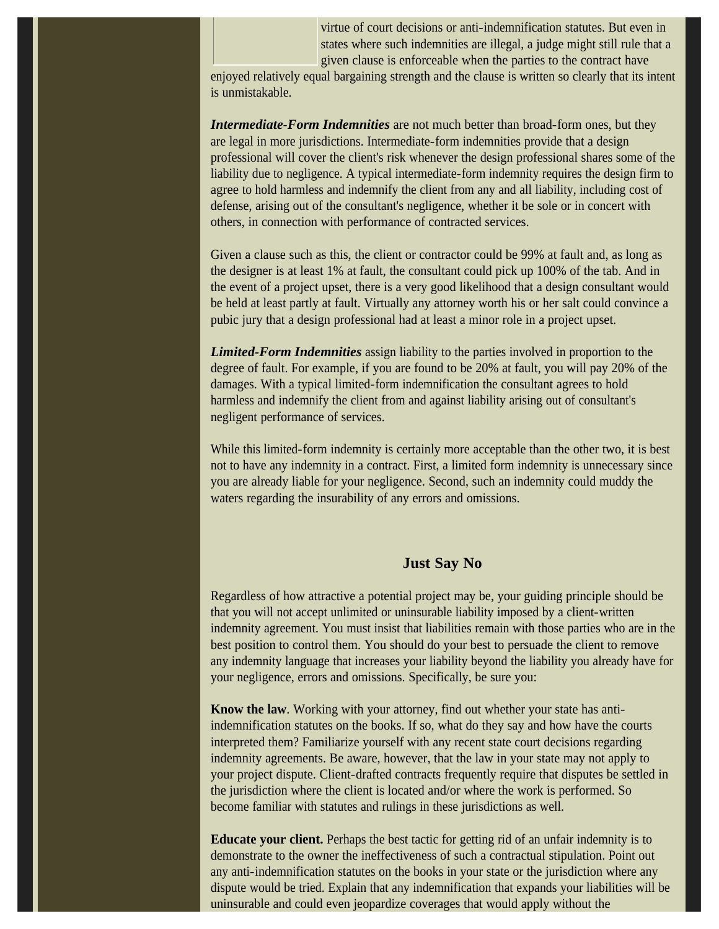virtue of court decisions or anti-indemnification statutes. But even in states where such indemnities are illegal, a judge might still rule that a given clause is enforceable when the parties to the contract have

enjoyed relatively equal bargaining strength and the clause is written so clearly that its intent is unmistakable.

*Intermediate-Form Indemnities* are not much better than broad-form ones, but they are legal in more jurisdictions. Intermediate-form indemnities provide that a design professional will cover the client's risk whenever the design professional shares some of the liability due to negligence. A typical intermediate-form indemnity requires the design firm to agree to hold harmless and indemnify the client from any and all liability, including cost of defense, arising out of the consultant's negligence, whether it be sole or in concert with others, in connection with performance of contracted services.

Given a clause such as this, the client or contractor could be 99% at fault and, as long as the designer is at least 1% at fault, the consultant could pick up 100% of the tab. And in the event of a project upset, there is a very good likelihood that a design consultant would be held at least partly at fault. Virtually any attorney worth his or her salt could convince a pubic jury that a design professional had at least a minor role in a project upset.

*Limited-Form Indemnities* assign liability to the parties involved in proportion to the degree of fault. For example, if you are found to be 20% at fault, you will pay 20% of the damages. With a typical limited-form indemnification the consultant agrees to hold harmless and indemnify the client from and against liability arising out of consultant's negligent performance of services.

While this limited-form indemnity is certainly more acceptable than the other two, it is best not to have any indemnity in a contract. First, a limited form indemnity is unnecessary since you are already liable for your negligence. Second, such an indemnity could muddy the waters regarding the insurability of any errors and omissions.

### **Just Say No**

Regardless of how attractive a potential project may be, your guiding principle should be that you will not accept unlimited or uninsurable liability imposed by a client-written indemnity agreement. You must insist that liabilities remain with those parties who are in the best position to control them. You should do your best to persuade the client to remove any indemnity language that increases your liability beyond the liability you already have for your negligence, errors and omissions. Specifically, be sure you:

**Know the law**. Working with your attorney, find out whether your state has antiindemnification statutes on the books. If so, what do they say and how have the courts interpreted them? Familiarize yourself with any recent state court decisions regarding indemnity agreements. Be aware, however, that the law in your state may not apply to your project dispute. Client-drafted contracts frequently require that disputes be settled in the jurisdiction where the client is located and/or where the work is performed. So become familiar with statutes and rulings in these jurisdictions as well.

**Educate your client.** Perhaps the best tactic for getting rid of an unfair indemnity is to demonstrate to the owner the ineffectiveness of such a contractual stipulation. Point out any anti-indemnification statutes on the books in your state or the jurisdiction where any dispute would be tried. Explain that any indemnification that expands your liabilities will be uninsurable and could even jeopardize coverages that would apply without the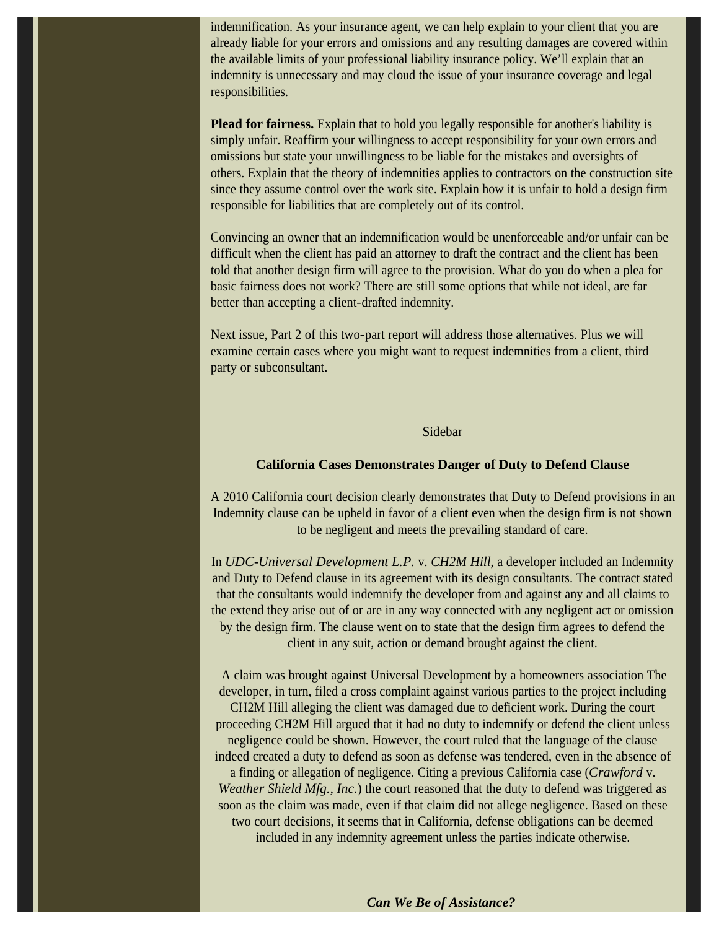indemnification. As your insurance agent, we can help explain to your client that you are already liable for your errors and omissions and any resulting damages are covered within the available limits of your professional liability insurance policy. We'll explain that an indemnity is unnecessary and may cloud the issue of your insurance coverage and legal responsibilities.

**Plead for fairness.** Explain that to hold you legally responsible for another's liability is simply unfair. Reaffirm your willingness to accept responsibility for your own errors and omissions but state your unwillingness to be liable for the mistakes and oversights of others. Explain that the theory of indemnities applies to contractors on the construction site since they assume control over the work site. Explain how it is unfair to hold a design firm responsible for liabilities that are completely out of its control.

Convincing an owner that an indemnification would be unenforceable and/or unfair can be difficult when the client has paid an attorney to draft the contract and the client has been told that another design firm will agree to the provision. What do you do when a plea for basic fairness does not work? There are still some options that while not ideal, are far better than accepting a client-drafted indemnity.

Next issue, Part 2 of this two-part report will address those alternatives. Plus we will examine certain cases where you might want to request indemnities from a client, third party or subconsultant.

### Sidebar

#### **California Cases Demonstrates Danger of Duty to Defend Clause**

A 2010 California court decision clearly demonstrates that Duty to Defend provisions in an Indemnity clause can be upheld in favor of a client even when the design firm is not shown to be negligent and meets the prevailing standard of care.

In *UDC-Universal Development L.P.* v. *CH2M Hill*, a developer included an Indemnity and Duty to Defend clause in its agreement with its design consultants. The contract stated that the consultants would indemnify the developer from and against any and all claims to the extend they arise out of or are in any way connected with any negligent act or omission by the design firm. The clause went on to state that the design firm agrees to defend the client in any suit, action or demand brought against the client.

 A claim was brought against Universal Development by a homeowners association The developer, in turn, filed a cross complaint against various parties to the project including CH2M Hill alleging the client was damaged due to deficient work. During the court proceeding CH2M Hill argued that it had no duty to indemnify or defend the client unless negligence could be shown. However, the court ruled that the language of the clause indeed created a duty to defend as soon as defense was tendered, even in the absence of a finding or allegation of negligence. Citing a previous California case (*Crawford* v. *Weather Shield Mfg., Inc.*) the court reasoned that the duty to defend was triggered as soon as the claim was made, even if that claim did not allege negligence. Based on these two court decisions, it seems that in California, defense obligations can be deemed included in any indemnity agreement unless the parties indicate otherwise.

#### *Can We Be of Assistance?*